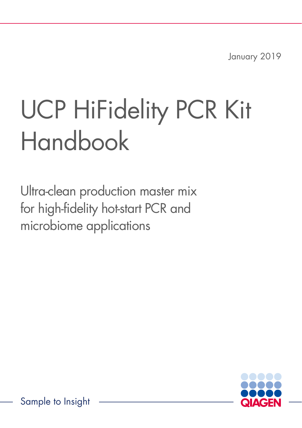January 2019

# UCP HiFidelity PCR Kit Handbook

Ultra-clean production master mix for high-fidelity hot-start PCR and microbiome applications



Sample to Insight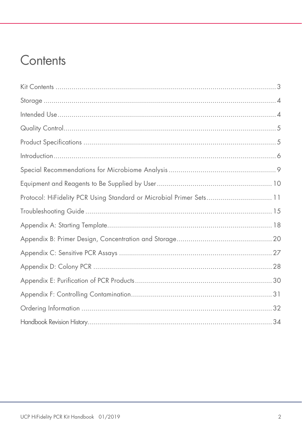### Contents

| Protocol: HiFidelity PCR Using Standard or Microbial Primer Sets 11 |
|---------------------------------------------------------------------|
|                                                                     |
|                                                                     |
|                                                                     |
|                                                                     |
|                                                                     |
|                                                                     |
|                                                                     |
|                                                                     |
|                                                                     |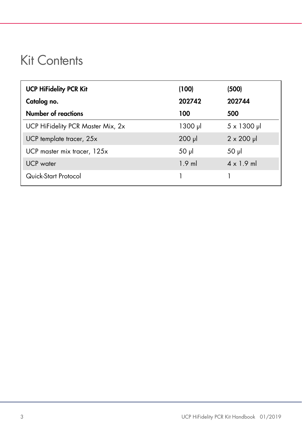### <span id="page-2-0"></span>Kit Contents

| <b>UCP HiFidelity PCR Kit</b>     | (100)       | (500)               |
|-----------------------------------|-------------|---------------------|
| Catalog no.                       | 202742      | 202744              |
| <b>Number of reactions</b>        | 100         | 500                 |
| UCP HiFidelity PCR Master Mix, 2x | 1300 µl     | $5 \times 1300 \mu$ |
| UCP template tracer, 25x          | $200$ $\mu$ | $2 \times 200$ µ    |
| UCP master mix tracer, 125x       | $50 \mu$    | $50$ $\mu$          |
| <b>UCP</b> water                  | $1.9$ ml    | $4 \times 1.9$ ml   |
| Quick-Start Protocol              |             |                     |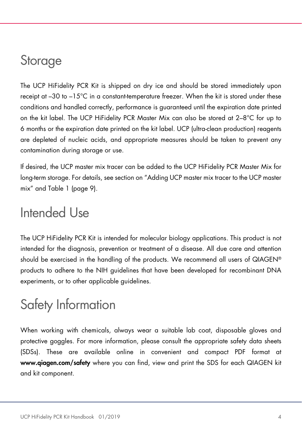### <span id="page-3-0"></span>Storage

The UCP HiFidelity PCR Kit is shipped on dry ice and should be stored immediately upon receipt at –30 to –15°C in a constant-temperature freezer. When the kit is stored under these conditions and handled correctly, performance is guaranteed until the expiration date printed on the kit label. The UCP HiFidelity PCR Master Mix can also be stored at 2–8°C for up to 6 months or the expiration date printed on the kit label. UCP (ultra-clean production) reagents are depleted of nucleic acids, and appropriate measures should be taken to prevent any contamination during storage or use.

If desired, the UCP master mix tracer can be added to the UCP HiFidelity PCR Master Mix for long-term storage. For details, see section on ["Adding UCP master mix tracer to the UCP master](#page-8-1)  [mix"](#page-8-1) and [Table 1](#page-8-2) (page [9\)](#page-8-2).

### <span id="page-3-1"></span>Intended Use

The UCP HiFidelity PCR Kit is intended for molecular biology applications. This product is not intended for the diagnosis, prevention or treatment of a disease. All due care and attention should be exercised in the handling of the products. We recommend all users of QIAGEN® products to adhere to the NIH guidelines that have been developed for recombinant DNA experiments, or to other applicable guidelines.

### Safety Information

When working with chemicals, always wear a suitable lab coat, disposable gloves and protective goggles. For more information, please consult the appropriate safety data sheets (SDSs). These are available online in convenient and compact PDF format at www.qiagen.com/safety where you can find, view and print the SDS for each QIAGEN kit and kit component.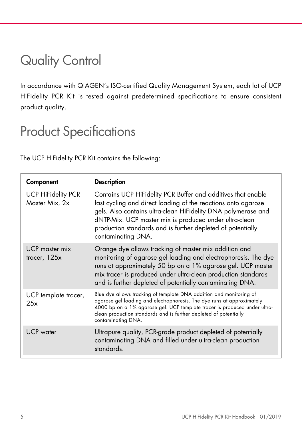### <span id="page-4-0"></span>Quality Control

In accordance with QIAGEN's ISO-certified Quality Management System, each lot of UCP HiFidelity PCR Kit is tested against predetermined specifications to ensure consistent product quality.

### <span id="page-4-1"></span>Product Specifications

The UCP HiFidelity PCR Kit contains the following:

| Component                                   | <b>Description</b>                                                                                                                                                                                                                                                                                                                            |
|---------------------------------------------|-----------------------------------------------------------------------------------------------------------------------------------------------------------------------------------------------------------------------------------------------------------------------------------------------------------------------------------------------|
| <b>UCP HiFidelity PCR</b><br>Master Mix, 2x | Contains UCP HiFidelity PCR Buffer and additives that enable<br>fast cycling and direct loading of the reactions onto agarose<br>gels. Also contains ultra-clean HiFidelity DNA polymerase and<br>dNTP-Mix. UCP master mix is produced under ultra-clean<br>production standards and is further depleted of potentially<br>contaminating DNA. |
| UCP master mix<br>tracer, 125x              | Orange dye allows tracking of master mix addition and<br>monitoring of agarose gel loading and electrophoresis. The dye<br>runs at approximately 50 bp on a 1% agarose gel. UCP master<br>mix tracer is produced under ultra-clean production standards<br>and is further depleted of potentially contaminating DNA.                          |
| UCP template tracer,<br>25x                 | Blue dye allows tracking of template DNA addition and monitoring of<br>agarose gel loading and electrophoresis. The dye runs at approximately<br>4000 bp on a 1% agarose gel. UCP template tracer is produced under ultra-<br>clean production standards and is further depleted of potentially<br>contaminating DNA.                         |
| <b>UCP</b> water                            | Ultrapure quality, PCR-grade product depleted of potentially<br>contaminating DNA and filled under ultra-clean production<br>standards.                                                                                                                                                                                                       |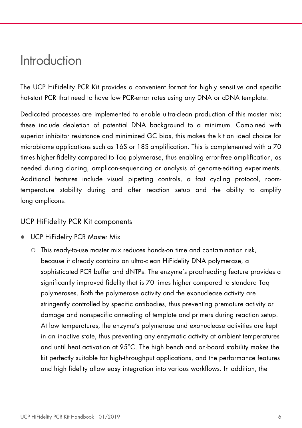### <span id="page-5-0"></span>Introduction

The UCP HiFidelity PCR Kit provides a convenient format for highly sensitive and specific hot-start PCR that need to have low PCR-error rates using any DNA or cDNA template.

Dedicated processes are implemented to enable ultra-clean production of this master mix; these include depletion of potential DNA background to a minimum. Combined with superior inhibitor resistance and minimized GC bias, this makes the kit an ideal choice for microbiome applications such as 16S or 18S amplification. This is complemented with a 70 times higher fidelity compared to Taq polymerase, thus enabling error-free amplification, as needed during cloning, amplicon-sequencing or analysis of genome-editing experiments. Additional features include visual pipetting controls, a fast cycling protocol, roomtemperature stability during and after reaction setup and the ability to amplify long amplicons.

#### UCP HiFidelity PCR Kit components

- UCP HiFidelity PCR Master Mix
	- This ready-to-use master mix reduces hands-on time and contamination risk, because it already contains an ultra-clean HiFidelity DNA polymerase, a sophisticated PCR buffer and dNTPs. The enzyme's proofreading feature provides a significantly improved fidelity that is 70 times higher compared to standard Taq polymerases. Both the polymerase activity and the exonuclease activity are stringently controlled by specific antibodies, thus preventing premature activity or damage and nonspecific annealing of template and primers during reaction setup. At low temperatures, the enzyme's polymerase and exonuclease activities are kept in an inactive state, thus preventing any enzymatic activity at ambient temperatures and until heat activation at 95°C. The high bench and on-board stability makes the kit perfectly suitable for high-throughput applications, and the performance features and high fidelity allow easy integration into various workflows. In addition, the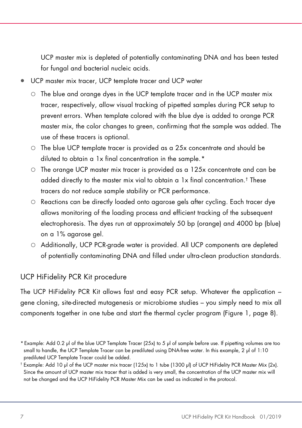UCP master mix is depleted of potentially contaminating DNA and has been tested for fungal and bacterial nucleic acids.

- UCP master mix tracer, UCP template tracer and UCP water
	- $\circ$  The blue and orange dyes in the UCP template tracer and in the UCP master mix tracer, respectively, allow visual tracking of pipetted samples during PCR setup to prevent errors. When template colored with the blue dye is added to orange PCR master mix, the color changes to green, confirming that the sample was added. The use of these tracers is optional.
	- The blue UCP template tracer is provided as a 25x concentrate and should be diluted to obtain a 1x final concentration in the sample.[\\*](#page-6-0)
	- $\circ$  The orange UCP master mix tracer is provided as a 125x concentrate and can be added directly to the master mix vial to obtain a 1x final concentration. † These tracers do not reduce sample stability or PCR performance.
	- Reactions can be directly loaded onto agarose gels after cycling. Each tracer dye allows monitoring of the loading process and efficient tracking of the subsequent electrophoresis. The dyes run at approximately 50 bp (orange) and 4000 bp (blue) on a 1% agarose gel.
	- Additionally, UCP PCR-grade water is provided. All UCP components are depleted of potentially contaminating DNA and filled under ultra-clean production standards.

#### UCP HiFidelity PCR Kit procedure

The UCP HiFidelity PCR Kit allows fast and easy PCR setup. Whatever the application – gene cloning, site-directed mutagenesis or microbiome studies – you simply need to mix all components together in one tube and start the thermal cycler program [\(Figure 1,](#page-7-0) page [8\)](#page-7-0).

<span id="page-6-0"></span><sup>\*</sup> Example: Add 0.2 μl of the blue UCP Template Tracer (25x) to 5 μl of sample before use. If pipetting volumes are too small to handle, the UCP Template Tracer can be prediluted using DNA-free water. In this example, 2 μl of 1:10 prediluted UCP Template Tracer could be added.

<sup>†</sup> Example: Add 10 μl of the UCP master mix tracer (125x) to 1 tube (1300 μl) of UCP HiFidelity PCR Master Mix (2x). Since the amount of UCP master mix tracer that is added is very small, the concentration of the UCP master mix will not be changed and the UCP HiFidelity PCR Master Mix can be used as indicated in the protocol.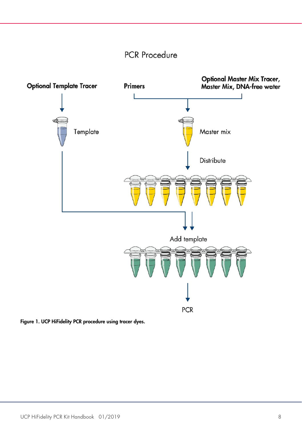### **PCR Procedure**



<span id="page-7-0"></span>Figure 1. UCP HiFidelity PCR procedure using tracer dyes.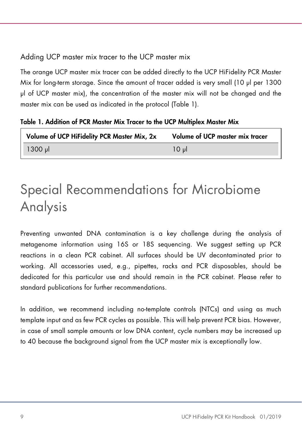#### <span id="page-8-1"></span>Adding UCP master mix tracer to the UCP master mix

The orange UCP master mix tracer can be added directly to the UCP HiFidelity PCR Master Mix for long-term storage. Since the amount of tracer added is very small (10 µl per 1300 µl of UCP master mix), the concentration of the master mix will not be changed and the master mix can be used as indicated in the protocol (Table 1).

<span id="page-8-2"></span>Table 1. Addition of PCR Master Mix Tracer to the UCP Multiplex Master Mix

| Volume of UCP HiFidelity PCR Master Mix, 2x | Volume of UCP master mix tracer |
|---------------------------------------------|---------------------------------|
| $1300 \mu$                                  | 10 ມl                           |

# <span id="page-8-0"></span>Special Recommendations for Microbiome Analysis

Preventing unwanted DNA contamination is a key challenge during the analysis of metagenome information using 16S or 18S sequencing. We suggest setting up PCR reactions in a clean PCR cabinet. All surfaces should be UV decontaminated prior to working. All accessories used, e.g., pipettes, racks and PCR disposables, should be dedicated for this particular use and should remain in the PCR cabinet. Please refer to standard publications for further recommendations.

In addition, we recommend including no-template controls (NTCs) and using as much template input and as few PCR cycles as possible. This will help prevent PCR bias. However, in case of small sample amounts or low DNA content, cycle numbers may be increased up to 40 because the background signal from the UCP master mix is exceptionally low.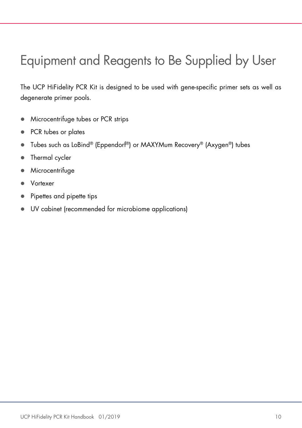### <span id="page-9-0"></span>Equipment and Reagents to Be Supplied by User

The UCP HiFidelity PCR Kit is designed to be used with gene-specific primer sets as well as degenerate primer pools.

- **Microcentrifuge tubes or PCR strips**
- PCR tubes or plates
- Tubes such as LoBind® (Eppendorf®) or MAXYMum Recovery® (Axygen®) tubes
- Thermal cycler
- **Microcentrifuge**
- Vortexer
- Pipettes and pipette tips
- UV cabinet (recommended for microbiome applications)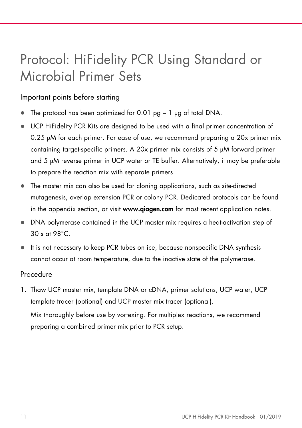### <span id="page-10-0"></span>Protocol: HiFidelity PCR Using Standard or Microbial Primer Sets

Important points before starting

- The protocol has been optimized for 0.01 pg 1 ug of total DNA.
- UCP HiFidelity PCR Kits are designed to be used with a final primer concentration of 0.25 µM for each primer. For ease of use, we recommend preparing a 20x primer mix containing target-specific primers. A 20x primer mix consists of 5 μM forward primer and 5 μM reverse primer in UCP water or TE buffer. Alternatively, it may be preferable to prepare the reaction mix with separate primers.
- The master mix can also be used for cloning applications, such as site-directed mutagenesis, overlap extension PCR or colony PCR. Dedicated protocols can be found in the appendix section, or visit **[www.qiagen.com](http://www.qiagen.com/)** for most recent application notes.
- DNA polymerase contained in the UCP master mix requires a heat-activation step of 30 s at 98°C.
- It is not necessary to keep PCR tubes on ice, because nonspecific DNA synthesis cannot occur at room temperature, due to the inactive state of the polymerase.

#### Procedure

1. Thaw UCP master mix, template DNA or cDNA, primer solutions, UCP water, UCP template tracer (optional) and UCP master mix tracer (optional).

Mix thoroughly before use by vortexing. For multiplex reactions, we recommend preparing a combined primer mix prior to PCR setup.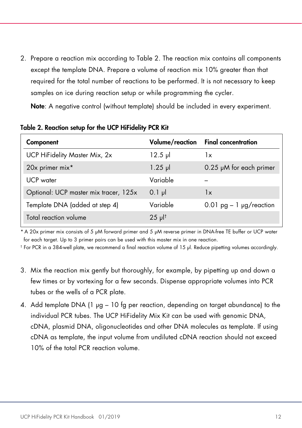2. Prepare a reaction mix according to Table 2. The reaction mix contains all components except the template DNA. Prepare a volume of reaction mix 10% greater than that required for the total number of reactions to be performed. It is not necessary to keep samples on ice during reaction setup or while programming the cycler.

Note: A negative control (without template) should be included in every experiment.

| Component                             |                      | Volume/reaction Final concentration |
|---------------------------------------|----------------------|-------------------------------------|
| UCP HiFidelity Master Mix, 2x         | $12.5$ pl            | 1x                                  |
| 20x primer mix*                       | $1.25$ $\mu$         | 0.25 µM for each primer             |
| UCP water                             | Variable             |                                     |
| Optional: UCP master mix tracer, 125x | $0.1$ pl             | 1x                                  |
| Template DNA (added at step 4)        | Variable             | $0.01$ pg $-1$ µg/reaction          |
| Total reaction volume                 | $25$ µ <sup> †</sup> |                                     |

Table 2. Reaction setup for the UCP HiFidelity PCR Kit

\* A 20x primer mix consists of 5 μM forward primer and 5 μM reverse primer in DNA-free TE buffer or UCP water for each target. Up to 3 primer pairs can be used with this master mix in one reaction.

† For PCR in a 384-well plate, we recommend a final reaction volume of 15 µl. Reduce pipetting volumes accordingly.

- 3. Mix the reaction mix gently but thoroughly, for example, by pipetting up and down a few times or by vortexing for a few seconds. Dispense appropriate volumes into PCR tubes or the wells of a PCR plate.
- 4. Add template DNA (1 µg 10 fg per reaction, depending on target abundance) to the individual PCR tubes. The UCP HiFidelity Mix Kit can be used with genomic DNA, cDNA, plasmid DNA, oligonucleotides and other DNA molecules as template. If using cDNA as template, the input volume from undiluted cDNA reaction should not exceed 10% of the total PCR reaction volume.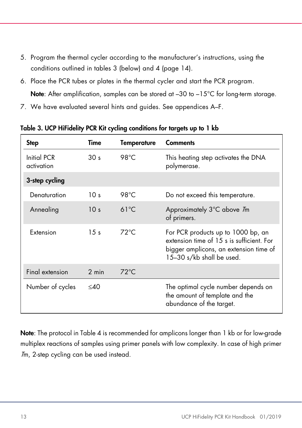- 5. Program the thermal cycler according to the manufacturer's instructions, using the conditions outlined in tables 3 (below) and 4 (page [14\)](#page-13-0).
- 6. Place the PCR tubes or plates in the thermal cycler and start the PCR program. Note: After amplification, samples can be stored at -30 to -15°C for long-term storage.
- 7. We have evaluated several hints and guides. See appendices A–F.

| <b>Step</b>               | Time            | <b>Temperature</b> | <b>Comments</b>                                                                                                                                        |
|---------------------------|-----------------|--------------------|--------------------------------------------------------------------------------------------------------------------------------------------------------|
| Initial PCR<br>activation | 30 <sub>s</sub> | 98°C               | This heating step activates the DNA<br>polymerase.                                                                                                     |
| 3-step cycling            |                 |                    |                                                                                                                                                        |
| Denaturation              | 10 <sub>s</sub> | 98°C               | Do not exceed this temperature.                                                                                                                        |
| Annealing                 | 10 <sub>s</sub> | $61^{\circ}$ C     | Approximately 3°C above 7m<br>of primers.                                                                                                              |
| Extension                 | 15 <sub>s</sub> | $72^{\circ}$ C     | For PCR products up to 1000 bp, an<br>extension time of 15 s is sufficient. For<br>bigger amplicons, an extension time of<br>15-30 s/kb shall be used. |
| Final extension           | 2 min           | $72^{\circ}$ C     |                                                                                                                                                        |
| Number of cycles          | $<$ 40          |                    | The optimal cycle number depends on<br>the amount of template and the<br>abundance of the target.                                                      |

<span id="page-12-0"></span>Table 3. UCP HiFidelity PCR Kit cycling conditions for targets up to 1 kb

Note: The protocol in Table 4 is recommended for amplicons longer than 1 kb or for low-grade multiplex reactions of samples using primer panels with low complexity. In case of high primer Tm, 2-step cycling can be used instead.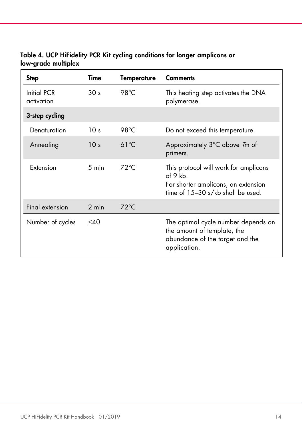| <b>Step</b>                      | Time            | <b>Temperature</b> | <b>Comments</b>                                                                                                               |
|----------------------------------|-----------------|--------------------|-------------------------------------------------------------------------------------------------------------------------------|
| <b>Initial PCR</b><br>activation | 30 <sub>s</sub> | 98°C               | This heating step activates the DNA<br>polymerase.                                                                            |
| 3-step cycling                   |                 |                    |                                                                                                                               |
| Denaturation                     | 10 <sub>s</sub> | 98°C               | Do not exceed this temperature.                                                                                               |
| Annealing                        | 10 <sub>s</sub> | $61^{\circ}$ C     | Approximately 3°C above 7m of<br>primers.                                                                                     |
| Extension                        | 5 min           | $72^{\circ}$ C     | This protocol will work for amplicons<br>of 9 kb.<br>For shorter amplicons, an extension<br>time of 15-30 s/kb shall be used. |
| Final extension                  | 2 min           | $72^{\circ}$ C     |                                                                                                                               |
| Number of cycles                 | $<$ 40          |                    | The optimal cycle number depends on<br>the amount of template, the<br>abundance of the target and the<br>application.         |

<span id="page-13-0"></span>Table 4. UCP HiFidelity PCR Kit cycling conditions for longer amplicons or low-grade multiplex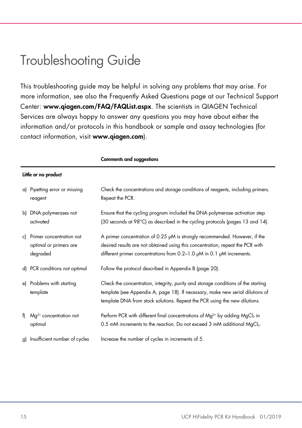### <span id="page-14-0"></span>Troubleshooting Guide

This troubleshooting guide may be helpful in solving any problems that may arise. For more information, see also the Frequently Asked Questions page at our Technical Support Center: www.qiagen.com/FAQ/FAQList.aspx. The scientists in QIAGEN Technical Services are always happy to answer any questions you may have about either the information and/or protocols in this handbook or sample and assay technologies (for contact information, visit www.qiagen.com).

|    | Little or no product                                           |                                                                                                                                                                                                                                                   |
|----|----------------------------------------------------------------|---------------------------------------------------------------------------------------------------------------------------------------------------------------------------------------------------------------------------------------------------|
| a) | Pipetting error or missing<br>reagent                          | Check the concentrations and storage conditions of reagents, including primers.<br>Repeat the PCR.                                                                                                                                                |
| b) | DNA polymerases not<br>activated                               | Ensure that the cycling program included the DNA polymerase activation step<br>(30 seconds at 98°C) as described in the cycling protocols (pages 13 and 14).                                                                                      |
| c) | Primer concentration not<br>optimal or primers are<br>degraded | A primer concentration of 0.25 µM is strongly recommended. However, if the<br>desired results are not obtained using this concentration, repeat the PCR with<br>different primer concentrations from 0.2-1.0 µM in 0.1 µM increments.             |
|    | d) PCR conditions not optimal                                  | Follow the protocol described in Appendix B (page 20).                                                                                                                                                                                            |
| e) | Problems with starting<br>template                             | Check the concentration, integrity, purity and storage conditions of the starting<br>template (see Appendix A, page 18). If necessary, make new serial dilutions of<br>template DNA from stock solutions. Repeat the PCR using the new dilutions. |
| f) | $Mg^{2+}$ concentration not<br>optimal                         | Perform PCR with different final concentrations of $Mg^{2+}$ by adding $MgCl2$ in<br>0.5 mM increments to the reaction. Do not exceed 3 mM additional MgCl <sub>2</sub> .                                                                         |
|    | g) Insufficient number of cycles                               | Increase the number of cycles in increments of 5.                                                                                                                                                                                                 |

#### Comments and suggestions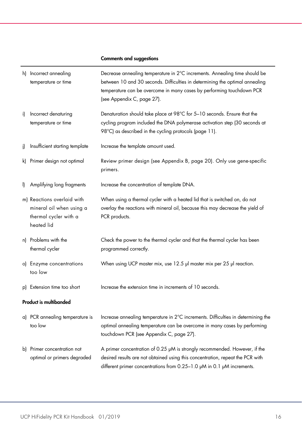#### Comments and suggestions

|     | h) Incorrect annealing<br>temperature or time                                                 | Decrease annealing temperature in 2°C increments. Annealing time should be<br>between 10 and 30 seconds. Difficulties in determining the optimal annealing<br>temperature can be overcome in many cases by performing touchdown PCR<br>(see Appendix C, page 27). |
|-----|-----------------------------------------------------------------------------------------------|-------------------------------------------------------------------------------------------------------------------------------------------------------------------------------------------------------------------------------------------------------------------|
| i)  | Incorrect denaturing<br>temperature or time                                                   | Denaturation should take place at 98°C for 5-10 seconds. Ensure that the<br>cycling program included the DNA polymerase activation step (30 seconds at<br>98°C) as described in the cycling protocols (page 11).                                                  |
| i)  | Insufficient starting template                                                                | Increase the template amount used.                                                                                                                                                                                                                                |
| k). | Primer design not optimal                                                                     | Review primer design (see Appendix B, page 20). Only use gene-specific<br>primers.                                                                                                                                                                                |
| I)  | Amplifying long fragments                                                                     | Increase the concentration of template DNA.                                                                                                                                                                                                                       |
|     | m) Reactions overlaid with<br>mineral oil when using a<br>thermal cycler with a<br>heated lid | When using a thermal cycler with a heated lid that is switched on, do not<br>overlay the reactions with mineral oil, because this may decrease the yield of<br>PCR products.                                                                                      |
|     | n) Problems with the<br>thermal cycler                                                        | Check the power to the thermal cycler and that the thermal cycler has been<br>programmed correctly.                                                                                                                                                               |
|     | o) Enzyme concentrations<br>too low                                                           | When using UCP master mix, use 12.5 µl master mix per 25 µl reaction.                                                                                                                                                                                             |
|     | p) Extension time too short                                                                   | Increase the extension time in increments of 10 seconds.                                                                                                                                                                                                          |
|     | <b>Product is multibanded</b>                                                                 |                                                                                                                                                                                                                                                                   |
|     | a) PCR annealing temperature is<br>too low                                                    | Increase annealing temperature in 2°C increments. Difficulties in determining the<br>optimal annealing temperature can be overcome in many cases by performing<br>touchdown PCR (see Appendix C, page 27).                                                        |
|     | b) Primer concentration not<br>optimal or primers degraded                                    | A primer concentration of 0.25 µM is strongly recommended. However, if the<br>desired results are not obtained using this concentration, repeat the PCR with<br>different primer concentrations from 0.25-1.0 µM in 0.1 µM increments.                            |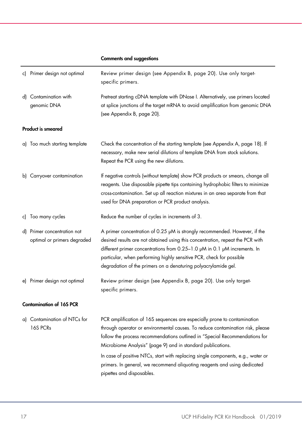#### Comments and suggestions

| c) Primer design not optimal                               | Review primer design (see Appendix B, page 20). Use only target-<br>specific primers.                                                                                                                                                                                                                                                                                               |
|------------------------------------------------------------|-------------------------------------------------------------------------------------------------------------------------------------------------------------------------------------------------------------------------------------------------------------------------------------------------------------------------------------------------------------------------------------|
| d) Contamination with<br>genomic DNA                       | Pretreat starting cDNA template with DNase I. Alternatively, use primers located<br>at splice junctions of the target mRNA to avoid amplification from genomic DNA<br>(see Appendix B, page 20).                                                                                                                                                                                    |
| Product is smeared                                         |                                                                                                                                                                                                                                                                                                                                                                                     |
| a) Too much starting template                              | Check the concentration of the starting template (see Appendix A, page 18). If<br>necessary, make new serial dilutions of template DNA from stock solutions.<br>Repeat the PCR using the new dilutions.                                                                                                                                                                             |
| b) Carryover contamination                                 | If negative controls (without template) show PCR products or smears, change all<br>reagents. Use disposable pipette tips containing hydrophobic filters to minimize<br>cross-contamination. Set up all reaction mixtures in an area separate from that<br>used for DNA preparation or PCR product analysis.                                                                         |
| c) Too many cycles                                         | Reduce the number of cycles in increments of 3.                                                                                                                                                                                                                                                                                                                                     |
| d) Primer concentration not<br>optimal or primers degraded | A primer concentration of 0.25 µM is strongly recommended. However, if the<br>desired results are not obtained using this concentration, repeat the PCR with<br>different primer concentrations from 0.25-1.0 µM in 0.1 µM increments. In<br>particular, when performing highly sensitive PCR, check for possible<br>degradation of the primers on a denaturing polyacrylamide gel. |
| e) Primer design not optimal                               | Review primer design (see Appendix B, page 20). Use only target-<br>specific primers.                                                                                                                                                                                                                                                                                               |
| <b>Contamination of 16S PCR</b>                            |                                                                                                                                                                                                                                                                                                                                                                                     |
| a) Contamination of NTCs for<br>16S PCRs                   | PCR amplification of 16S sequences are especially prone to contamination<br>through operator or environmental causes. To reduce contamination risk, please<br>follow the process recommendations outlined in "Special Recommendations for<br>Microbiome Analysis" (page 9) and in standard publications.                                                                            |
|                                                            | In case of positive NTCs, start with replacing single components, e.g., water or<br>primers. In general, we recommend aliquoting reagents and using dedicated<br>pipettes and disposables.                                                                                                                                                                                          |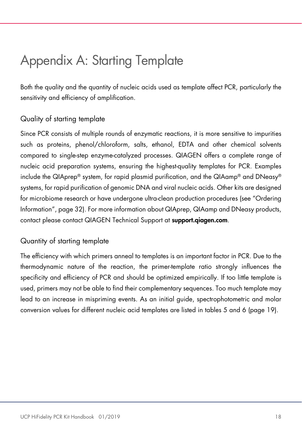### <span id="page-17-0"></span>Appendix A: Starting Template

Both the quality and the quantity of nucleic acids used as template affect PCR, particularly the sensitivity and efficiency of amplification.

#### Quality of starting template

Since PCR consists of multiple rounds of enzymatic reactions, it is more sensitive to impurities such as proteins, phenol/chloroform, salts, ethanol, EDTA and other chemical solvents compared to single-step enzyme-catalyzed processes. QIAGEN offers a complete range of nucleic acid preparation systems, ensuring the highest-quality templates for PCR. Examples include the QIAprep® system, for rapid plasmid purification, and the QIAamp® and DNeasy® systems, for rapid purification of genomic DNA and viral nucleic acids. Other kits are designed for microbiome research or have undergone ultra-clean production procedures (see "Ordering Information", pag[e 32\)](#page-31-0). For more information about QIAprep, QIAamp and DNeasy products, contact please contact QIAGEN Technical Support at **support.giagen.com.** 

#### Quantity of starting template

The efficiency with which primers anneal to templates is an important factor in PCR. Due to the thermodynamic nature of the reaction, the primer-template ratio strongly influences the specificity and efficiency of PCR and should be optimized empirically. If too little template is used, primers may not be able to find their complementary sequences. Too much template may lead to an increase in mispriming events. As an initial guide, spectrophotometric and molar conversion values for different nucleic acid templates are listed in tables 5 and 6 (page [19\)](#page-18-0).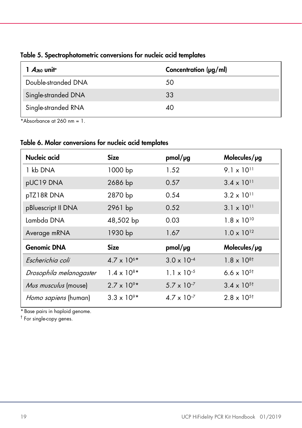| $A_{260}$ unit*     | Concentration (µg/ml) |
|---------------------|-----------------------|
| Double-stranded DNA | 50                    |
| Single-stranded DNA | 33                    |
| Single-stranded RNA | 40                    |

<span id="page-18-0"></span>Table 5. Spectrophotometric conversions for nucleic acid templates

\*Absorbance at  $260 \text{ nm} = 1$ .

#### Table 6. Molar conversions for nucleic acid templates

| Nucleic acid            | <b>Size</b>          | pmol/µg              | Molecules/µg         |
|-------------------------|----------------------|----------------------|----------------------|
| 1 kb DNA                | 1000 bp              | 1.52                 | $9.1 \times 10^{11}$ |
| pUC19 DNA               | 2686 bp              | 0.57                 | $3.4 \times 10^{11}$ |
| pTZ18R DNA              | 2870 bp              | 0.54                 | $3.2 \times 10^{11}$ |
| pBluescript II DNA      | 2961 bp              | 0.52                 | $3.1 \times 10^{11}$ |
| Lambda DNA              | 48,502 bp            | 0.03                 | $1.8 \times 10^{10}$ |
| Average mRNA            | 1930 bp              | 1.67                 | $1.0 \times 10^{12}$ |
| <b>Genomic DNA</b>      | <b>Size</b>          | pmol/pg              | Molecules/µg         |
| Escherichia coli        | $4.7 \times 10^{6*}$ | $3.0 \times 10^{-4}$ | $1.8 \times 10^{8}$  |
| Drosophila melanogaster | $1.4 \times 10^{8*}$ | $1.1 \times 10^{-5}$ | 6.6 x $10^{5}$       |
| Mus musculus (mouse)    | $2.7 \times 10^{9*}$ | $5.7 \times 10^{-7}$ | $3.4 \times 10^{5}$  |
| Homo sapiens (human)    | $3.3 \times 10^{9*}$ | $4.7 \times 10^{-7}$ | $2.8 \times 10^{5}$  |

\* Base pairs in haploid genome.

† For single-copy genes.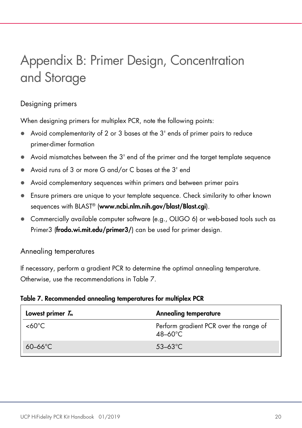## <span id="page-19-0"></span>Appendix B: Primer Design, Concentration and Storage

#### Designing primers

When designing primers for multiplex PCR, note the following points:

- Avoid complementarity of 2 or 3 bases at the 3' ends of primer pairs to reduce primer-dimer formation
- Avoid mismatches between the 3' end of the primer and the target template sequence
- Avoid runs of 3 or more G and/or C bases at the 3' end
- Avoid complementary sequences within primers and between primer pairs
- Ensure primers are unique to your template sequence. Check similarity to other known sequences with BLAST® (www.ncbi.nlm.nih.gov/blast/Blast.cgi).
- Commercially available computer software (e.g., OLIGO 6) or web-based tools such as Primer3 (frodo.wi.mit.edu/primer3/) can be used for primer design.

Annealing temperatures

If necessary, perform a gradient PCR to determine the optimal annealing temperature. Otherwise, use the recommendations in Table 7.

#### Table 7. Recommended annealing temperatures for multiplex PCR

| Lowest primer $T_m$ | <b>Annealing temperature</b>                                |
|---------------------|-------------------------------------------------------------|
| $<60^{\circ}C$      | Perform gradient PCR over the range of<br>$48-60^{\circ}$ C |
| $60-66^{\circ}$ C   | $53 - 63^{\circ}$ C                                         |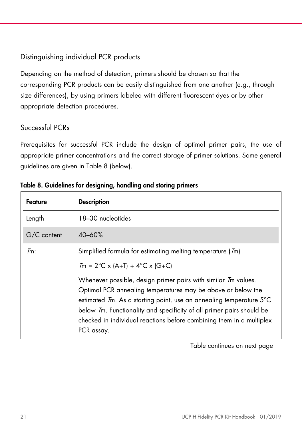### Distinguishing individual PCR products

Depending on the method of detection, primers should be chosen so that the corresponding PCR products can be easily distinguished from one another (e.g., through size differences), by using primers labeled with different fluorescent dyes or by other appropriate detection procedures.

#### Successful PCRs

Prerequisites for successful PCR include the design of optimal primer pairs, the use of appropriate primer concentrations and the correct storage of primer solutions. Some general guidelines are given in Table 8 (below).

| Feature          | <b>Description</b>                                                                                                                                                                                                                                                                                                                                                   |
|------------------|----------------------------------------------------------------------------------------------------------------------------------------------------------------------------------------------------------------------------------------------------------------------------------------------------------------------------------------------------------------------|
| Length           | 18-30 nucleotides                                                                                                                                                                                                                                                                                                                                                    |
| G/C content      | $40 - 60%$                                                                                                                                                                                                                                                                                                                                                           |
| $\mathcal{I}$ m: | Simplified formula for estimating melting temperature (7m)                                                                                                                                                                                                                                                                                                           |
|                  | $T_m = 2^{\circ}C \times (A+T) + 4^{\circ}C \times (G+C)$                                                                                                                                                                                                                                                                                                            |
|                  | Whenever possible, design primer pairs with similar 7m values.<br>Optimal PCR annealing temperatures may be above or below the<br>estimated 7m. As a starting point, use an annealing temperature 5°C<br>below Tm. Functionality and specificity of all primer pairs should be<br>checked in individual reactions before combining them in a multiplex<br>PCR assay. |

|  | Table 8. Guidelines for designing, handling and storing primers |  |  |
|--|-----------------------------------------------------------------|--|--|
|  |                                                                 |  |  |

Table continues on next page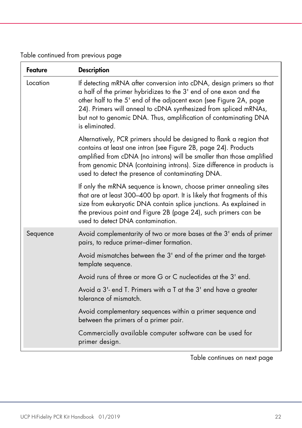Table continued from previous page

| <b>Feature</b> | <b>Description</b>                                                                                                                                                                                                                                                                                                                                                        |
|----------------|---------------------------------------------------------------------------------------------------------------------------------------------------------------------------------------------------------------------------------------------------------------------------------------------------------------------------------------------------------------------------|
| Location       | If detecting mRNA after conversion into cDNA, design primers so that<br>a half of the primer hybridizes to the 3' end of one exon and the<br>other half to the 5' end of the adjacent exon (see Figure 2A, page<br>24). Primers will anneal to cDNA synthesized from spliced mRNAs,<br>but not to genomic DNA. Thus, amplification of contaminating DNA<br>is eliminated. |
|                | Alternatively, PCR primers should be designed to flank a region that<br>contains at least one intron (see Figure 2B, page 24). Products<br>amplified from cDNA (no introns) will be smaller than those amplified<br>from genomic DNA (containing introns). Size difference in products is<br>used to detect the presence of contaminating DNA.                            |
|                | If only the mRNA sequence is known, choose primer annealing sites<br>that are at least 300-400 bp apart. It is likely that fragments of this<br>size from eukaryotic DNA contain splice junctions. As explained in<br>the previous point and Figure 2B (page 24), such primers can be<br>used to detect DNA contamination.                                                |
| Sequence       | Avoid complementarity of two or more bases at the 3' ends of primer<br>pairs, to reduce primer-dimer formation.                                                                                                                                                                                                                                                           |
|                | Avoid mismatches between the 3' end of the primer and the target-<br>template sequence.                                                                                                                                                                                                                                                                                   |
|                | Avoid runs of three or more G or C nucleotides at the 3' end.                                                                                                                                                                                                                                                                                                             |
|                | Avoid a 3'- end T. Primers with a T at the 3' end have a greater<br>tolerance of mismatch.                                                                                                                                                                                                                                                                                |
|                | Avoid complementary sequences within a primer sequence and<br>between the primers of a primer pair.                                                                                                                                                                                                                                                                       |
|                | Commercially available computer software can be used for<br>primer design.                                                                                                                                                                                                                                                                                                |

Table continues on next page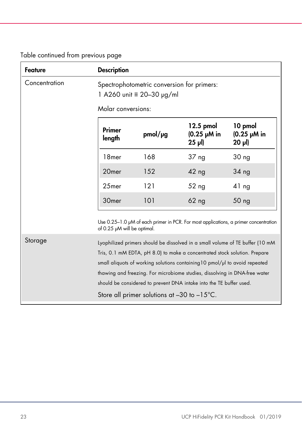| Table continued from previous page |  |  |  |
|------------------------------------|--|--|--|
|------------------------------------|--|--|--|

| Feature       | <b>Description</b>                                                                                                                                        |         |                                          |                                                                               |  |  |
|---------------|-----------------------------------------------------------------------------------------------------------------------------------------------------------|---------|------------------------------------------|-------------------------------------------------------------------------------|--|--|
| Concentration | Spectrophotometric conversion for primers:<br>1 A260 unit ≡ 20-30 µg/ml<br>Molar conversions:                                                             |         |                                          |                                                                               |  |  |
|               | Primer<br>length                                                                                                                                          | pmol/µg | 12.5 pmol<br>$(0.25 \mu M)$ in<br>25 µl) | 10 pmol<br>$(0.25 \mu M)$ in<br>$20 \mu$                                      |  |  |
|               | 18 <sub>mer</sub>                                                                                                                                         | 168     | 37 ng                                    | 30 <sub>ng</sub>                                                              |  |  |
|               | 20 <sub>mer</sub>                                                                                                                                         | 152     | $42$ ng                                  | 34 <sub>ng</sub>                                                              |  |  |
|               | 25mer                                                                                                                                                     | 121     | 52 <sub>ng</sub>                         | 41 <sub>ng</sub>                                                              |  |  |
|               | 30 <sub>mer</sub>                                                                                                                                         | 101     | $62$ ng                                  | 50 <sub>ng</sub>                                                              |  |  |
|               | Use $0.25-1.0$ $\mu$ M of each primer in PCR. For most applications, a primer concentration<br>of 0.25 µM will be optimal.                                |         |                                          |                                                                               |  |  |
| Storage       |                                                                                                                                                           |         |                                          | Lyophilized primers should be dissolved in a small volume of TE buffer (10 mM |  |  |
|               | Tris, 0.1 mM EDTA, pH 8.0) to make a concentrated stock solution. Prepare                                                                                 |         |                                          |                                                                               |  |  |
|               | small aliquots of working solutions containing 10 pmol/ul to avoid repeated<br>thawing and freezing. For microbiome studies, dissolving in DNA-free water |         |                                          |                                                                               |  |  |
|               | should be considered to prevent DNA intake into the TE buffer used.                                                                                       |         |                                          |                                                                               |  |  |
|               | Store all primer solutions at $-30$ to $-15^{\circ}$ C.                                                                                                   |         |                                          |                                                                               |  |  |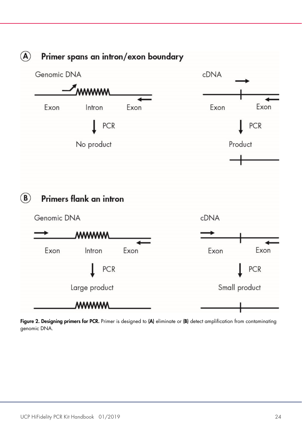

<span id="page-23-0"></span>Figure 2. Designing primers for PCR. Primer is designed to (A) eliminate or (B) detect amplification from contaminating genomic DNA.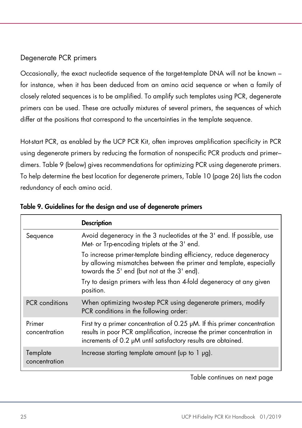#### Degenerate PCR primers

Occasionally, the exact nucleotide sequence of the target-template DNA will not be known – for instance, when it has been deduced from an amino acid sequence or when a family of closely related sequences is to be amplified. To amplify such templates using PCR, degenerate primers can be used. These are actually mixtures of several primers, the sequences of which differ at the positions that correspond to the uncertainties in the template sequence.

Hot-start PCR, as enabled by the UCP PCR Kit, often improves amplification specificity in PCR using degenerate primers by reducing the formation of nonspecific PCR products and primer– dimers. Table 9 (below) gives recommendations for optimizing PCR using degenerate primers. To help determine the best location for degenerate primers, Table 10 (page [26\)](#page-25-0) lists the codon redundancy of each amino acid.

|                           | <b>Description</b>                                                                                                                                                                                                         |
|---------------------------|----------------------------------------------------------------------------------------------------------------------------------------------------------------------------------------------------------------------------|
| Sequence                  | Avoid degeneracy in the 3 nucleotides at the 3' end. If possible, use<br>Met- or Trp-encoding triplets at the 3' end.                                                                                                      |
|                           | To increase primer-template binding efficiency, reduce degeneracy<br>by allowing mismatches between the primer and template, especially<br>towards the 5' end (but not at the 3' end).                                     |
|                           | Try to design primers with less than 4-fold degeneracy at any given<br>position.                                                                                                                                           |
| <b>PCR</b> conditions     | When optimizing two-step PCR using degenerate primers, modify<br>PCR conditions in the following order:                                                                                                                    |
| Primer<br>concentration   | First try a primer concentration of 0.25 $\mu$ M. If this primer concentration<br>results in poor PCR amplification, increase the primer concentration in<br>increments of 0.2 µM until satisfactory results are obtained. |
| Template<br>concentration | Increase starting template amount (up to $1 \mu g$ ).                                                                                                                                                                      |

Table 9. Guidelines for the design and use of degenerate primers

Table continues on next page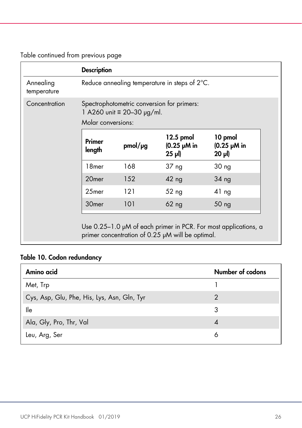Table continued from previous page

|                          | <b>Description</b> |                                                                                                       |                                                   |                                          |  |  |
|--------------------------|--------------------|-------------------------------------------------------------------------------------------------------|---------------------------------------------------|------------------------------------------|--|--|
| Annealing<br>temperature |                    | Reduce annealing temperature in steps of $2^{\circ}$ C.                                               |                                                   |                                          |  |  |
| Concentration            |                    | Spectrophotometric conversion for primers:<br>1 A260 unit $\equiv$ 20-30 µg/ml.<br>Molar conversions: |                                                   |                                          |  |  |
|                          | Primer<br>length   | pmol/pg                                                                                               | 12.5 pmol<br>$(0.25 \mu M)$ in<br>$25 \text{ pl}$ | 10 pmol<br>$(0.25 \mu M)$ in<br>$20 \mu$ |  |  |
|                          | 18 <sub>mer</sub>  | 168                                                                                                   | 37 <sub>ng</sub>                                  | 30 <sub>ng</sub>                         |  |  |
|                          | 20 <sub>mer</sub>  | 152                                                                                                   | $42$ ng                                           | 34 ng                                    |  |  |
|                          | 25mer              | 121                                                                                                   | 52 <sub>ng</sub>                                  | $41$ ng                                  |  |  |
|                          | 30 <sub>mer</sub>  | 101                                                                                                   | $62$ ng                                           | 50 <sub>ng</sub>                         |  |  |

### <span id="page-25-0"></span>Table 10. Codon redundancy

| Amino acid                                  | Number of codons |
|---------------------------------------------|------------------|
| Met, Trp                                    |                  |
| Cys, Asp, Glu, Phe, His, Lys, Asn, Gln, Tyr |                  |
| lle                                         | 3                |
| Ala, Gly, Pro, Thr, Val                     | 4                |
| Leu, Arg, Ser                               | 6                |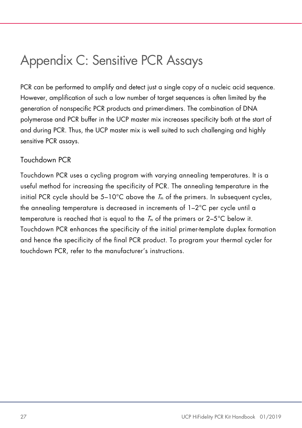### <span id="page-26-0"></span>Appendix C: Sensitive PCR Assays

PCR can be performed to amplify and detect just a single copy of a nucleic acid sequence. However, amplification of such a low number of target sequences is often limited by the generation of nonspecific PCR products and primer-dimers. The combination of DNA polymerase and PCR buffer in the UCP master mix increases specificity both at the start of and during PCR. Thus, the UCP master mix is well suited to such challenging and highly sensitive PCR assays.

#### Touchdown PCR

Touchdown PCR uses a cycling program with varying annealing temperatures. It is a useful method for increasing the specificity of PCR. The annealing temperature in the initial PCR cycle should be  $5-10^{\circ}$ C above the  $T_m$  of the primers. In subsequent cycles, the annealing temperature is decreased in increments of 1–2°C per cycle until a temperature is reached that is equal to the  $T<sub>m</sub>$  of the primers or 2-5°C below it. Touchdown PCR enhances the specificity of the initial primer-template duplex formation and hence the specificity of the final PCR product. To program your thermal cycler for touchdown PCR, refer to the manufacturer's instructions.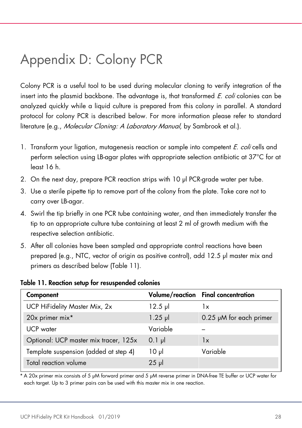### <span id="page-27-0"></span>Appendix D: Colony PCR

Colony PCR is a useful tool to be used during molecular cloning to verify integration of the insert into the plasmid backbone. The advantage is, that transformed  $E.$  coli colonies can be analyzed quickly while a liquid culture is prepared from this colony in parallel. A standard protocol for colony PCR is described below. For more information please refer to standard literature (e.g., Molecular Cloning: A Laboratory Manual, by Sambrook et al.).

- 1. Transform your ligation, mutagenesis reaction or sample into competent *E. coli* cells and perform selection using LB-agar plates with appropriate selection antibiotic at 37°C for at least 16 h.
- 2. On the next day, prepare PCR reaction strips with 10 µl PCR-grade water per tube.
- 3. Use a sterile pipette tip to remove part of the colony from the plate. Take care not to carry over LB-agar.
- 4. Swirl the tip briefly in one PCR tube containing water, and then immediately transfer the tip to an appropriate culture tube containing at least 2 ml of growth medium with the respective selection antibiotic.
- 5. After all colonies have been sampled and appropriate control reactions have been prepared (e.g., NTC, vector of origin as positive control), add 12.5 µl master mix and primers as described below (Table 11).

#### Table 11. Reaction setup for resuspended colonies

| Component                             |           | Volume/reaction Final concentration |
|---------------------------------------|-----------|-------------------------------------|
| UCP HiFidelity Master Mix, 2x         | $12.5$ pl | 1x                                  |
| 20x primer mix*                       | $1.25$ pl | $0.25$ µM for each primer           |
| UCP water                             | Variable  |                                     |
| Optional: UCP master mix tracer, 125x | $0.1$ pl  | $\mathsf{I}\mathsf{x}$              |
| Template suspension (added at step 4) | ار 10     | Variable                            |
| Total reaction volume                 | $25$ µ    |                                     |

\* A 20x primer mix consists of 5 μM forward primer and 5 μM reverse primer in DNA-free TE buffer or UCP water for each target. Up to 3 primer pairs can be used with this master mix in one reaction.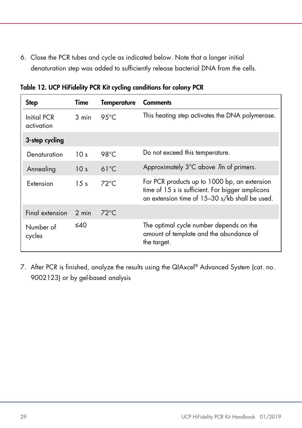6. Close the PCR tubes and cycle as indicated below. Note that a longer initial denaturation step was added to sufficiently release bacterial DNA from the cells.

| <b>Step</b>               | Time             | <b>Temperature</b> | <b>Comments</b>                                                                                                                                    |
|---------------------------|------------------|--------------------|----------------------------------------------------------------------------------------------------------------------------------------------------|
| Initial PCR<br>activation | 3 min            | 9.5 $\degree$ C    | This heating step activates the DNA polymerase.                                                                                                    |
| 3-step cycling            |                  |                    |                                                                                                                                                    |
| Denaturation              | 10 <sub>s</sub>  | 98°C               | Do not exceed this temperature.                                                                                                                    |
| Annealing                 | 10 <sub>s</sub>  | $61^{\circ}$ C     | Approximately 3°C above <i>T</i> m of primers.                                                                                                     |
| <b>Extension</b>          | $1.5 \mathrm{s}$ | $72^{\circ}$ C     | For PCR products up to 1000 bp, an extension<br>time of 15 s is sufficient. For bigger amplicons<br>an extension time of 15-30 s/kb shall be used. |
| Final extension           | 2 min            | $72^{\circ}$ C     |                                                                                                                                                    |
| Number of<br>cycles       | ≤40              |                    | The optimal cycle number depends on the<br>amount of template and the abundance of<br>the target.                                                  |

Table 12. UCP HiFidelity PCR Kit cycling conditions for colony PCR

7. After PCR is finished, analyze the results using the QIAxcel® Advanced System (cat. no. 9002123) or by gel-based analysis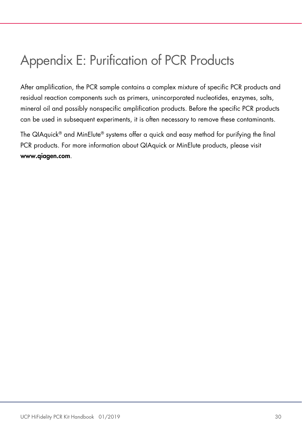### <span id="page-29-0"></span>Appendix E: Purification of PCR Products

After amplification, the PCR sample contains a complex mixture of specific PCR products and residual reaction components such as primers, unincorporated nucleotides, enzymes, salts, mineral oil and possibly nonspecific amplification products. Before the specific PCR products can be used in subsequent experiments, it is often necessary to remove these contaminants.

The QIAquick® and MinElute® systems offer a quick and easy method for purifying the final PCR products. For more information about QIAquick or MinElute products, please visit www.qiagen.com.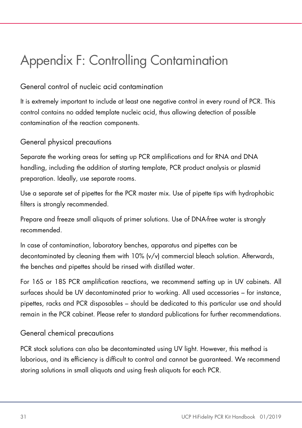## <span id="page-30-0"></span>Appendix F: Controlling Contamination

### General control of nucleic acid contamination

It is extremely important to include at least one negative control in every round of PCR. This control contains no added template nucleic acid, thus allowing detection of possible contamination of the reaction components.

#### General physical precautions

Separate the working areas for setting up PCR amplifications and for RNA and DNA handling, including the addition of starting template, PCR product analysis or plasmid preparation. Ideally, use separate rooms.

Use a separate set of pipettes for the PCR master mix. Use of pipette tips with hydrophobic filters is strongly recommended.

Prepare and freeze small aliquots of primer solutions. Use of DNA-free water is strongly recommended.

In case of contamination, laboratory benches, apparatus and pipettes can be decontaminated by cleaning them with 10% (v/v) commercial bleach solution. Afterwards, the benches and pipettes should be rinsed with distilled water.

For 16S or 18S PCR amplification reactions, we recommend setting up in UV cabinets. All surfaces should be UV decontaminated prior to working. All used accessories – for instance, pipettes, racks and PCR disposables – should be dedicated to this particular use and should remain in the PCR cabinet. Please refer to standard publications for further recommendations.

#### General chemical precautions

PCR stock solutions can also be decontaminated using UV light. However, this method is laborious, and its efficiency is difficult to control and cannot be guaranteed. We recommend storing solutions in small aliquots and using fresh aliquots for each PCR.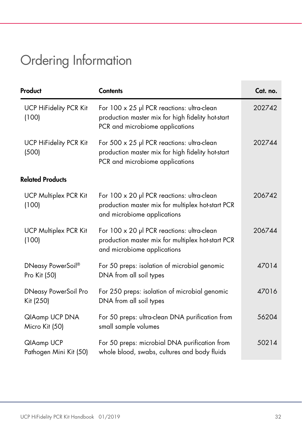# <span id="page-31-0"></span>Ordering Information

| Product                                  | <b>Contents</b>                                                                                                                    | Cat. no. |
|------------------------------------------|------------------------------------------------------------------------------------------------------------------------------------|----------|
| <b>UCP HiFidelity PCR Kit</b><br>(100)   | For 100 x 25 µl PCR reactions: ultra-clean<br>production master mix for high fidelity hot-start<br>PCR and microbiome applications | 202742   |
| <b>UCP HiFidelity PCR Kit</b><br>(500)   | For 500 x 25 µl PCR reactions: ultra-clean<br>production master mix for high fidelity hot-start<br>PCR and microbiome applications | 202744   |
| <b>Related Products</b>                  |                                                                                                                                    |          |
| <b>UCP Multiplex PCR Kit</b><br>(100)    | For 100 x 20 µl PCR reactions: ultra-clean<br>production master mix for multiplex hot-start PCR<br>and microbiome applications     | 206742   |
| <b>UCP Multiplex PCR Kit</b><br>(100)    | For 100 x 20 µl PCR reactions: ultra-clean<br>production master mix for multiplex hot-start PCR<br>and microbiome applications     | 206744   |
| DNeasy PowerSoil®<br>Pro Kit (50)        | For 50 preps: isolation of microbial genomic<br>DNA from all soil types                                                            | 47014    |
| <b>DNeasy PowerSoil Pro</b><br>Kit (250) | For 250 preps: isolation of microbial genomic<br>DNA from all soil types                                                           | 47016    |
| QIAamp UCP DNA<br>Micro Kit (50)         | For 50 preps: ultra-clean DNA purification from<br>small sample volumes                                                            | 56204    |
| QIAamp UCP<br>Pathogen Mini Kit (50)     | For 50 preps: microbial DNA purification from<br>whole blood, swabs, cultures and body fluids                                      | 50214    |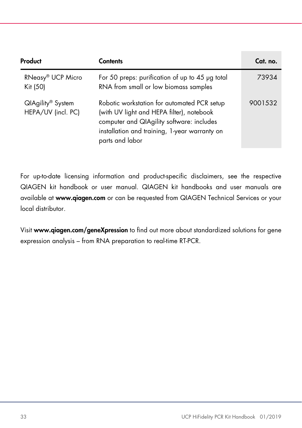| Product                                             | <b>Contents</b>                                                                                                                                                                                           | Cat. no. |
|-----------------------------------------------------|-----------------------------------------------------------------------------------------------------------------------------------------------------------------------------------------------------------|----------|
| RNeasy® UCP Micro<br>Kit (50)                       | For 50 preps: purification of up to 45 µg total<br>RNA from small or low biomass samples                                                                                                                  | 73934    |
| QIAgility <sup>®</sup> System<br>HEPA/UV (incl. PC) | Robotic workstation for automated PCR setup<br>(with UV light and HEPA filter), notebook<br>computer and QIAgility software: includes<br>installation and training, 1-year warranty on<br>parts and labor | 9001532  |

For up-to-date licensing information and product-specific disclaimers, see the respective QIAGEN kit handbook or user manual. QIAGEN kit handbooks and user manuals are available at www.qiagen.com or can be requested from QIAGEN Technical Services or your local distributor.

Visit www.qiagen.com/geneXpression to find out more about standardized solutions for gene expression analysis – from RNA preparation to real-time RT-PCR.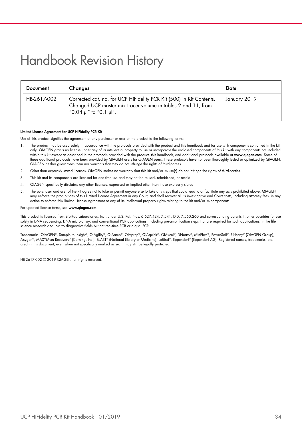### <span id="page-33-0"></span>Handbook Revision History

| Document    | Changes                                                                                                                                                         | Date         |
|-------------|-----------------------------------------------------------------------------------------------------------------------------------------------------------------|--------------|
| HB-2617-002 | Corrected cat. no. for UCP HiFidelity PCR Kit (500) in Kit Contents.<br>Changed UCP master mix tracer volume in tables 2 and 11, from<br>"0.04 µl" to "0.1 µl". | January 2019 |

#### Limited License Agreement for UCP HiFidelity PCR Kit

Use of this product signifies the agreement of any purchaser or user of the product to the following terms:

- 1. The product may be used solely in accordance with the protocols provided with the product and this handbook and for use with components contained in the kit only. QIAGEN grants no license under any of its intellectual property to use or incorporate the enclosed components of this kit with any components not included within this kit except as described in the protocols provided with the product, this handbook, and additional protocols available at www.qiagen.com. Some of these additional protocols have been provided by QIAGEN users for QIAGEN users. These protocols have not been thoroughly tested or optimized by QIAGEN. QIAGEN neither guarantees them nor warrants that they do not infringe the rights of third-parties.
- 2. Other than expressly stated licenses, QIAGEN makes no warranty that this kit and/or its use(s) do not infringe the rights of third-parties.
- 3. This kit and its components are licensed for one-time use and may not be reused, refurbished, or resold.
- 4. QIAGEN specifically disclaims any other licenses, expressed or implied other than those expressly stated.
- 5. The purchaser and user of the kit agree not to take or permit anyone else to take any steps that could lead to or facilitate any acts prohibited above. QIAGEN<br>may enforce the prohibitions of this Limited License Agreeme action to enforce this Limited License Agreement or any of its intellectual property rights relating to the kit and/or its components.

#### For updated license terms, see [www.qiagen.com](http://www.qiagen.com/)

This product is licensed from Bio-Rad Laboratories, Inc., under U.S. Pat. Nos. 6,627,424, 7,541,170, 7,560,260 and corresponding patents in other countries for use solely in DNA sequencing, DNA micro-array, and conventional PCR applications, including pre-amplification steps that are required for such applications, in the life science research and in-vitro diagnostics fields but not real-time PCR or digital PCR.

Trademarks: QIAGEN®, Sample to Insight®, QIAgility®, QIAamp®, QIAprep®, QIAquick®, QIAxcel®, DNeasy®, MinElute®, PowerSoil®, RNeasy® (QIAGEN Group); Axygen®, MAXYMum Recovery® (Corning, Inc.); BLAST® (National Library of Medicine); LoBind®, Eppendorf® (Eppendorf AG). Registered names, trademarks, etc. used in this document, even when not specifically marked as such, may still be legally protected.

HB-2617-002 © 2019 QIAGEN, all rights reserved.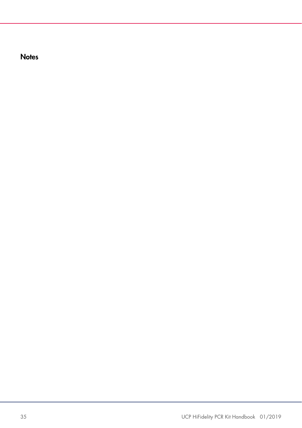**Notes**